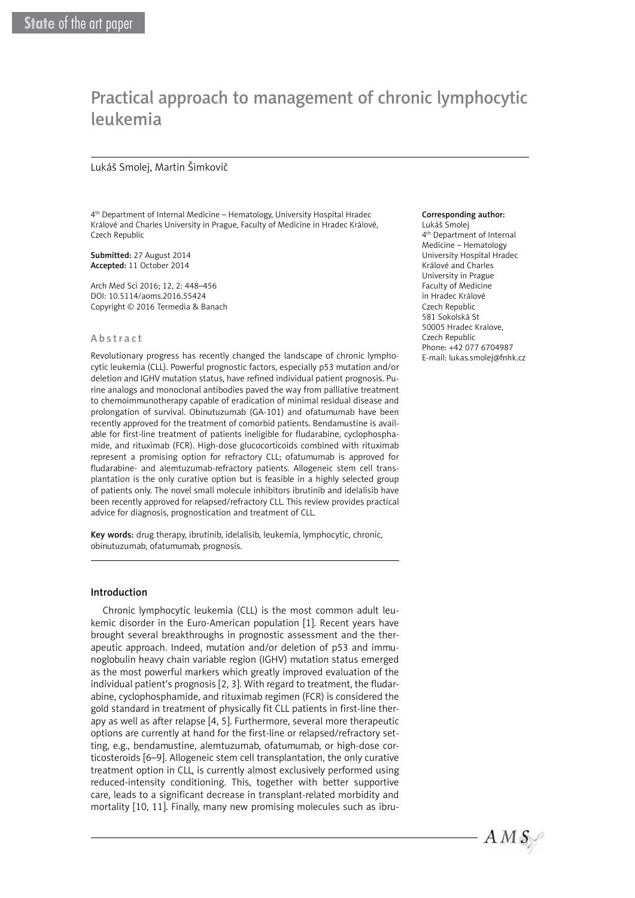# Practical approach to management of chronic lymphocytic leukemia

#### Lukáš Smolej, Martin Šimkovič

4th Department of Internal Medicine – Hematology, University Hospital Hradec Králové and Charles University in Prague, Faculty of Medicine in Hradec Králové, Czech Republic

Submitted: 27 August 2014 Accepted: 11 October 2014

Arch Med Sci 2016; 12, 2: 448–456 DOI: 10.5114/aoms.2016.55424 Copyright © 2016 Termedia & Banach

#### Abstract

Revolutionary progress has recently changed the landscape of chronic lymphocytic leukemia (CLL). Powerful prognostic factors, especially p53 mutation and/or deletion and IGHV mutation status, have refined individual patient prognosis. Purine analogs and monoclonal antibodies paved the way from palliative treatment to chemoimmunotherapy capable of eradication of minimal residual disease and prolongation of survival. Obinutuzumab (GA-101) and ofatumumab have been recently approved for the treatment of comorbid patients. Bendamustine is available for first-line treatment of patients ineligible for fludarabine, cyclophosphamide, and rituximab (FCR). High-dose glucocorticoids combined with rituximab represent a promising option for refractory CLL; ofatumumab is approved for fludarabine- and alemtuzumab-refractory patients. Allogeneic stem cell transplantation is the only curative option but is feasible in a highly selected group of patients only. The novel small molecule inhibitors ibrutinib and idelalisib have been recently approved for relapsed/refractory CLL. This review provides practical advice for diagnosis, prognostication and treatment of CLL.

Key words: drug therapy, ibrutinib, idelalisib, leukemia, lymphocytic, chronic, obinutuzumab, ofatumumab, prognosis.

#### Introduction

Chronic lymphocytic leukemia (CLL) is the most common adult leukemic disorder in the Euro-American population [1]. Recent years have brought several breakthroughs in prognostic assessment and the therapeutic approach. Indeed, mutation and/or deletion of p53 and immunoglobulin heavy chain variable region (IGHV) mutation status emerged as the most powerful markers which greatly improved evaluation of the individual patient's prognosis [2, 3]. With regard to treatment, the fludarabine, cyclophosphamide, and rituximab regimen (FCR) is considered the gold standard in treatment of physically fit CLL patients in first-line therapy as well as after relapse [4, 5]. Furthermore, several more therapeutic options are currently at hand for the first-line or relapsed/refractory setting, e.g., bendamustine, alemtuzumab, ofatumumab, or high-dose corticosteroids [6–9]. Allogeneic stem cell transplantation, the only curative treatment option in CLL, is currently almost exclusively performed using reduced-intensity conditioning. This, together with better supportive care, leads to a significant decrease in transplant-related morbidity and mortality [10, 11]. Finally, many new promising molecules such as ibru-

#### Corresponding author:

Lukáš Smolej 4th Department of Internal Medicine – Hematology University Hospital Hradec Králové and Charles University in Prague Faculty of Medicine in Hradec Králové Czech Republic 581 Sokolská St 50005 Hradec Kralove, Czech Republic Phone: +42 077 6704987 E-mail: [lukas.smolej@fnhk.cz](mailto:lukas.smolej@fnhk.cz?Subject=AMS-04245-2014-03)

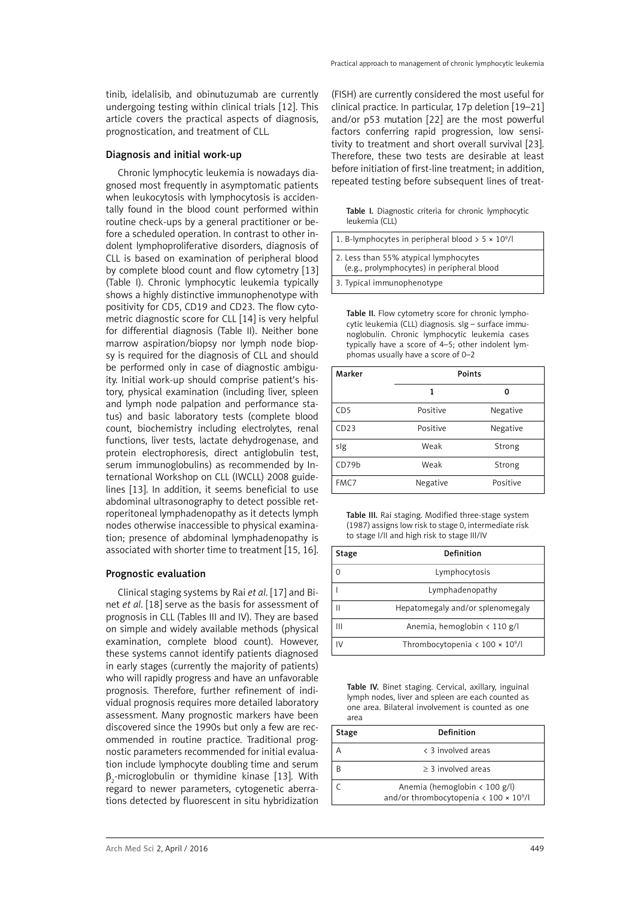tinib, idelalisib, and obinutuzumab are currently undergoing testing within clinical trials [12]. This article covers the practical aspects of diagnosis, prognostication, and treatment of CLL.

#### Diagnosis and initial work-up

Chronic lymphocytic leukemia is nowadays diagnosed most frequently in asymptomatic patients when leukocytosis with lymphocytosis is accidentally found in the blood count performed within routine check-ups by a general practitioner or before a scheduled operation. In contrast to other indolent lymphoproliferative disorders, diagnosis of CLL is based on examination of peripheral blood by complete blood count and flow cytometry [13] (Table I). Chronic lymphocytic leukemia typically shows a highly distinctive immunophenotype with positivity for CD5, CD19 and CD23. The flow cytometric diagnostic score for CLL [14] is very helpful for differential diagnosis (Table II). Neither bone marrow aspiration/biopsy nor lymph node biopsy is required for the diagnosis of CLL and should be performed only in case of diagnostic ambiguity. Initial work-up should comprise patient's history, physical examination (including liver, spleen and lymph node palpation and performance status) and basic laboratory tests (complete blood count, biochemistry including electrolytes, renal functions, liver tests, lactate dehydrogenase, and protein electrophoresis, direct antiglobulin test, serum immunoglobulins) as recommended by International Workshop on CLL (IWCLL) 2008 guidelines [13]. In addition, it seems beneficial to use abdominal ultrasonography to detect possible retroperitoneal lymphadenopathy as it detects lymph nodes otherwise inaccessible to physical examination; presence of abdominal lymphadenopathy is associated with shorter time to treatment [15, 16].

## Prognostic evaluation

Clinical staging systems by Rai *et al*. [17] and Binet *et al*. [18] serve as the basis for assessment of prognosis in CLL (Tables III and IV). They are based on simple and widely available methods (physical examination, complete blood count). However, these systems cannot identify patients diagnosed in early stages (currently the majority of patients) who will rapidly progress and have an unfavorable prognosis. Therefore, further refinement of individual prognosis requires more detailed laboratory assessment. Many prognostic markers have been discovered since the 1990s but only a few are recommended in routine practice. Traditional prognostic parameters recommended for initial evaluation include lymphocyte doubling time and serum  $\beta_2$ -microglobulin or thymidine kinase [13]. With regard to newer parameters, cytogenetic aberrations detected by fluorescent in situ hybridization

(FISH) are currently considered the most useful for clinical practice. In particular, 17p deletion [19–21] and/or p53 mutation [22] are the most powerful factors conferring rapid progression, low sensitivity to treatment and short overall survival [23]. Therefore, these two tests are desirable at least before initiation of first-line treatment; in addition, repeated testing before subsequent lines of treat-

Table I. Diagnostic criteria for chronic lymphocytic leukemia (CLL)

| 1. B-lymphocytes in peripheral blood $> 5 \times 10^9$ /l                           |
|-------------------------------------------------------------------------------------|
| 2. Less than 55% atypical lymphocytes<br>(e.g., prolymphocytes) in peripheral blood |
| 3. Typical immunophenotype                                                          |

Table II. Flow cytometry score for chronic lymphocytic leukemia (CLL) diagnosis. sIg – surface immunoglobulin. Chronic lymphocytic leukemia cases typically have a score of 4–5; other indolent lymphomas usually have a score of 0–2

| Marker          | <b>Points</b> |          |  |
|-----------------|---------------|----------|--|
|                 | 1             |          |  |
| CD <sub>5</sub> | Positive      | Negative |  |
| CD23            | Positive      | Negative |  |
| slg             | Weak          | Strong   |  |
| CD79b           | Weak          | Strong   |  |
| FMC7            | Negative      | Positive |  |

Table III. Rai staging. Modified three-stage system (1987) assigns low risk to stage 0, intermediate risk to stage I/II and high risk to stage III/IV

| Stage | Definition                                             |  |  |
|-------|--------------------------------------------------------|--|--|
|       | Lymphocytosis                                          |  |  |
|       | Lymphadenopathy                                        |  |  |
|       | Hepatomegaly and/or splenomegaly                       |  |  |
| Ш     | Anemia, hemoglobin $\langle 110 \text{ g/l} \rangle$   |  |  |
|       | Thrombocytopenia $\langle 100 \times 10^9 / l \rangle$ |  |  |

Table IV. Binet staging. Cervical, axillary, inguinal lymph nodes, liver and spleen are each counted as one area. Bilateral involvement is counted as one area

| Stage | Definition                                                                                                            |
|-------|-----------------------------------------------------------------------------------------------------------------------|
|       | < 3 involved areas                                                                                                    |
|       | $> 3$ involved areas                                                                                                  |
|       | Anemia (hemoglobin $\langle 100 \text{ g/l} \rangle$<br>and/or thrombocytopenia $\langle 100 \times 10^9 / l \rangle$ |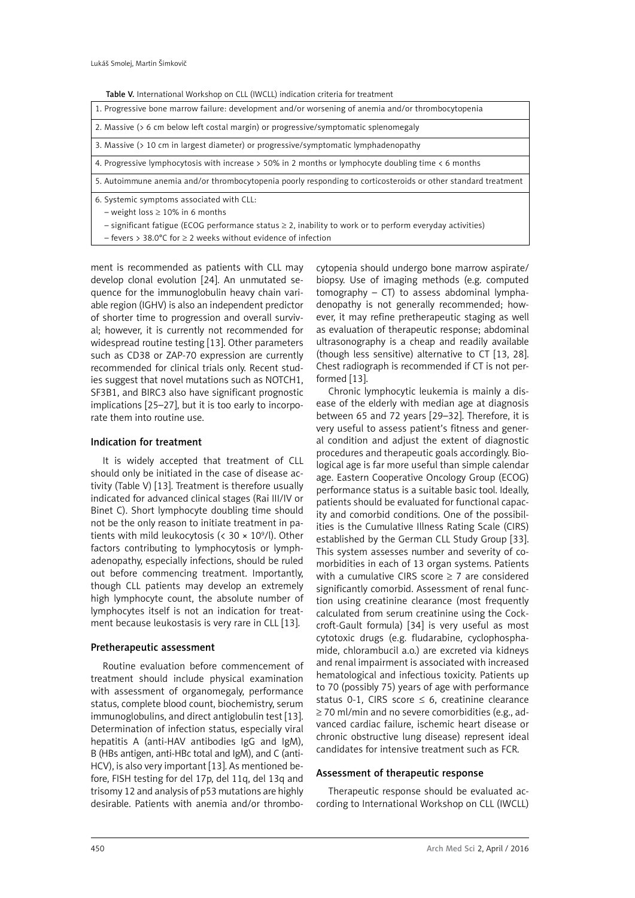Table V. International Workshop on CLL (IWCLL) indication criteria for treatment

| 1. Progressive bone marrow failure: development and/or worsening of anemia and/or thrombocytopenia               |
|------------------------------------------------------------------------------------------------------------------|
| 2. Massive (> 6 cm below left costal margin) or progressive/symptomatic splenomegaly                             |
| 3. Massive (> 10 cm in largest diameter) or progressive/symptomatic lymphadenopathy                              |
| 4. Progressive lymphocytosis with increase > 50% in 2 months or lymphocyte doubling time < 6 months              |
| 5. Autoimmune anemia and/or thrombocytopenia poorly responding to corticosteroids or other standard treatment    |
| 6. Systemic symptoms associated with CLL:                                                                        |
| $-$ weight loss $\geq 10\%$ in 6 months                                                                          |
| $-$ significant fatigue (ECOG performance status $\geq 2$ , inability to work or to perform everyday activities) |
| $-$ fevers > 38.0°C for $\geq$ 2 weeks without evidence of infection                                             |

ment is recommended as patients with CLL may develop clonal evolution [24]. An unmutated sequence for the immunoglobulin heavy chain variable region (IGHV) is also an independent predictor of shorter time to progression and overall survival; however, it is currently not recommended for widespread routine testing [13]. Other parameters such as CD38 or ZAP-70 expression are currently recommended for clinical trials only. Recent studies suggest that novel mutations such as NOTCH1, SF3B1, and BIRC3 also have significant prognostic implications [25–27], but it is too early to incorporate them into routine use.

# Indication for treatment

It is widely accepted that treatment of CLL should only be initiated in the case of disease activity (Table V) [13]. Treatment is therefore usually indicated for advanced clinical stages (Rai III/IV or Binet C). Short lymphocyte doubling time should not be the only reason to initiate treatment in patients with mild leukocytosis (<  $30 \times 10^9$ /l). Other factors contributing to lymphocytosis or lymphadenopathy, especially infections, should be ruled out before commencing treatment. Importantly, though CLL patients may develop an extremely high lymphocyte count, the absolute number of lymphocytes itself is not an indication for treatment because leukostasis is very rare in CLL [13].

# Pretherapeutic assessment

Routine evaluation before commencement of treatment should include physical examination with assessment of organomegaly, performance status, complete blood count, biochemistry, serum immunoglobulins, and direct antiglobulin test [13]. Determination of infection status, especially viral hepatitis A (anti-HAV antibodies IgG and IgM), B (HBs antigen, anti-HBc total and IgM), and C (anti-HCV), is also very important [13]. As mentioned before, FISH testing for del 17p, del 11q, del 13q and trisomy 12 and analysis of p53 mutations are highly desirable. Patients with anemia and/or thrombocytopenia should undergo bone marrow aspirate/ biopsy. Use of imaging methods (e.g. computed tomography  $-$  CT) to assess abdominal lymphadenopathy is not generally recommended; however, it may refine pretherapeutic staging as well as evaluation of therapeutic response; abdominal ultrasonography is a cheap and readily available (though less sensitive) alternative to CT [13, 28]. Chest radiograph is recommended if CT is not performed [13].

Chronic lymphocytic leukemia is mainly a disease of the elderly with median age at diagnosis between 65 and 72 years [29–32]. Therefore, it is very useful to assess patient's fitness and general condition and adjust the extent of diagnostic procedures and therapeutic goals accordingly. Biological age is far more useful than simple calendar age. Eastern Cooperative Oncology Group (ECOG) performance status is a suitable basic tool. Ideally, patients should be evaluated for functional capacity and comorbid conditions. One of the possibilities is the Cumulative Illness Rating Scale (CIRS) established by the German CLL Study Group [33]. This system assesses number and severity of comorbidities in each of 13 organ systems. Patients with a cumulative CIRS score  $\geq$  7 are considered significantly comorbid. Assessment of renal function using creatinine clearance (most frequently calculated from serum creatinine using the Cockcroft-Gault formula) [34] is very useful as most cytotoxic drugs (e.g. fludarabine, cyclophosphamide, chlorambucil a.o.) are excreted via kidneys and renal impairment is associated with increased hematological and infectious toxicity. Patients up to 70 (possibly 75) years of age with performance status 0-1, CIRS score  $\leq$  6, creatinine clearance ≥ 70 ml/min and no severe comorbidities (e.g., advanced cardiac failure, ischemic heart disease or chronic obstructive lung disease) represent ideal candidates for intensive treatment such as FCR.

## Assessment of therapeutic response

Therapeutic response should be evaluated according to International Workshop on CLL (IWCLL)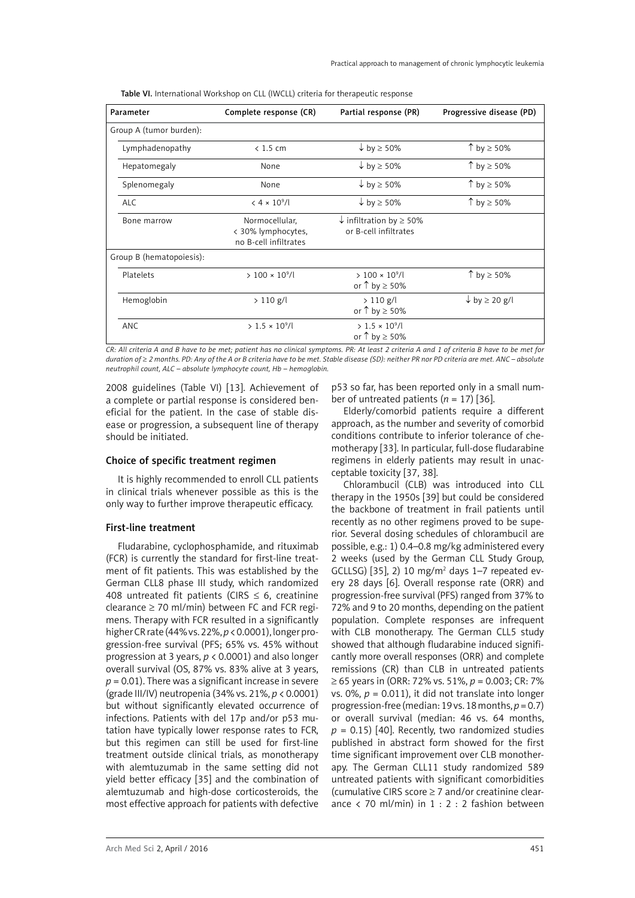Table VI. International Workshop on CLL (IWCLL) criteria for therapeutic response

| Parameter                | Complete response (CR)                                        | Partial response (PR)                                            | Progressive disease (PD)      |
|--------------------------|---------------------------------------------------------------|------------------------------------------------------------------|-------------------------------|
| Group A (tumor burden):  |                                                               |                                                                  |                               |
| Lymphadenopathy          | $< 1.5$ cm                                                    | $\downarrow$ by $\geq$ 50%                                       | ↑ by $\geq 50\%$              |
| Hepatomegaly             | None                                                          | $\downarrow$ by $\geq$ 50%                                       | ↑ by $\geq 50\%$              |
| Splenomegaly             | None                                                          | $\downarrow$ by $\geq$ 50%                                       | ↑ by $\geq$ 50%               |
| <b>ALC</b>               | $< 4 \times 10^{9}$ /l                                        | $\downarrow$ by $\geq$ 50%                                       | ↑ by $\geq 50\%$              |
| Bone marrow              | Normocellular,<br>< 30% lymphocytes,<br>no B-cell infiltrates | $\downarrow$ infiltration by $\geq$ 50%<br>or B-cell infiltrates |                               |
| Group B (hematopoiesis): |                                                               |                                                                  |                               |
| Platelets                | $> 100 \times 10^9/l$                                         | $> 100 \times 10^9/l$<br>or $\uparrow$ by $\geq 50\%$            | ↑ by $\geq$ 50%               |
| Hemoglobin               | $> 110$ g/l                                                   | $> 110$ g/l<br>or $\uparrow$ by $\geq 50\%$                      | $\downarrow$ by $\geq$ 20 g/l |
| <b>ANC</b>               | $> 1.5 \times 10^9$ /l                                        | $> 1.5 \times 10^9/l$<br>or $\uparrow$ by $\geq$ 50%             |                               |

*CR: All criteria A and B have to be met; patient has no clinical symptoms. PR: At least 2 criteria A and 1 of criteria B have to be met for duration of* ≥ *2 months. PD: Any of the A or B criteria have to be met. Stable disease (SD): neither PR nor PD criteria are met. ANC – absolute neutrophil count, ALC – absolute lymphocyte count, Hb – hemoglobin.* 

2008 guidelines (Table VI) [13]. Achievement of a complete or partial response is considered beneficial for the patient. In the case of stable disease or progression, a subsequent line of therapy should be initiated.

## Choice of specific treatment regimen

It is highly recommended to enroll CLL patients in clinical trials whenever possible as this is the only way to further improve therapeutic efficacy.

# First-line treatment

Fludarabine, cyclophosphamide, and rituximab (FCR) is currently the standard for first-line treatment of fit patients. This was established by the German CLL8 phase III study, which randomized 408 untreated fit patients (CIRS  $\leq$  6, creatinine clearance  $\geq$  70 ml/min) between FC and FCR regimens. Therapy with FCR resulted in a significantly higher CR rate (44% vs. 22%, *p* < 0.0001), longer progression-free survival (PFS; 65% vs. 45% without progression at 3 years, *p* < 0.0001) and also longer overall survival (OS, 87% vs. 83% alive at 3 years,  $p = 0.01$ ). There was a significant increase in severe (grade III/IV) neutropenia (34% vs. 21%, *p* < 0.0001) but without significantly elevated occurrence of infections. Patients with del 17p and/or p53 mutation have typically lower response rates to FCR, but this regimen can still be used for first-line treatment outside clinical trials, as monotherapy with alemtuzumab in the same setting did not yield better efficacy [35] and the combination of alemtuzumab and high-dose corticosteroids, the most effective approach for patients with defective p53 so far, has been reported only in a small number of untreated patients  $(n = 17)$  [36].

Elderly/comorbid patients require a different approach, as the number and severity of comorbid conditions contribute to inferior tolerance of chemotherapy [33]. In particular, full-dose fludarabine regimens in elderly patients may result in unacceptable toxicity [37, 38].

Chlorambucil (CLB) was introduced into CLL therapy in the 1950s [39] but could be considered the backbone of treatment in frail patients until recently as no other regimens proved to be superior. Several dosing schedules of chlorambucil are possible, e.g.: 1) 0.4–0.8 mg/kg administered every 2 weeks (used by the German CLL Study Group, GCLLSG) [35], 2) 10 mg/m<sup>2</sup> days 1–7 repeated every 28 days [6]. Overall response rate (ORR) and progression-free survival (PFS) ranged from 37% to 72% and 9 to 20 months, depending on the patient population. Complete responses are infrequent with CLB monotherapy. The German CLL5 study showed that although fludarabine induced significantly more overall responses (ORR) and complete remissions (CR) than CLB in untreated patients ≥ 65 years in (ORR: 72% vs. 51%, *p* = 0.003; CR: 7% vs. 0%,  $p = 0.011$ ), it did not translate into longer progression-free (median: 19 vs. 18 months, *p* = 0.7) or overall survival (median: 46 vs. 64 months,  $p = 0.15$ ) [40]. Recently, two randomized studies published in abstract form showed for the first time significant improvement over CLB monotherapy. The German CLL11 study randomized 589 untreated patients with significant comorbidities (cumulative CIRS score ≥ 7 and/or creatinine clearance  $\langle$  70 ml/min) in 1 : 2 : 2 fashion between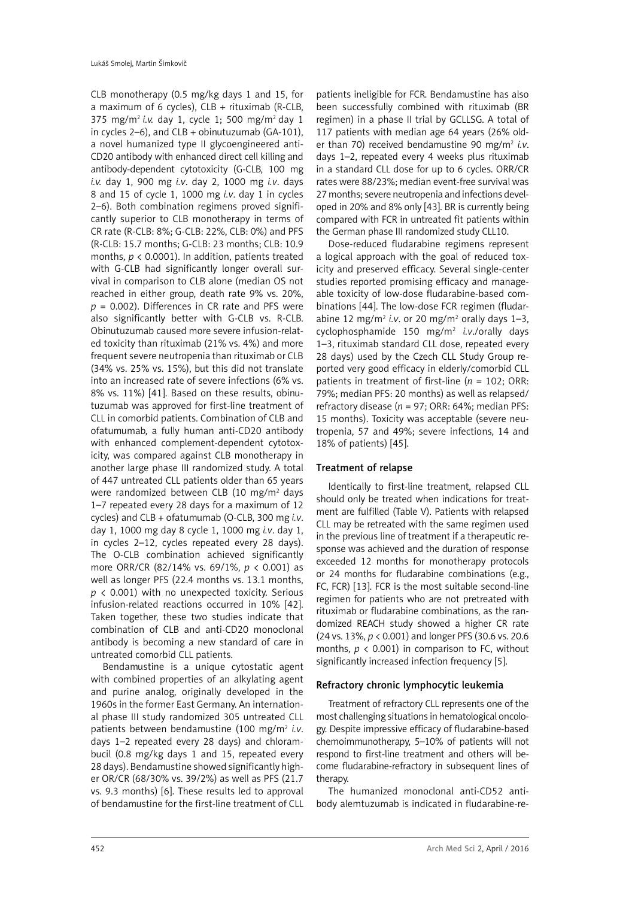CLB monotherapy (0.5 mg/kg days 1 and 15, for a maximum of 6 cycles),  $CLB + rituximab$  (R-CLB, 375 mg/m2 *i.v.* day 1, cycle 1; 500 mg/m2 day 1 in cycles 2–6), and CLB + obinutuzumab (GA-101), a novel humanized type II glycoengineered anti-CD20 antibody with enhanced direct cell killing and antibody-dependent cytotoxicity (G-CLB, 100 mg *i.v.* day 1, 900 mg *i.v*. day 2, 1000 mg *i.v*. days 8 and 15 of cycle 1, 1000 mg *i.v*. day 1 in cycles 2–6). Both combination regimens proved significantly superior to CLB monotherapy in terms of CR rate (R-CLB: 8%; G-CLB: 22%, CLB: 0%) and PFS (R-CLB: 15.7 months; G-CLB: 23 months; CLB: 10.9 months, *p* < 0.0001). In addition, patients treated with G-CLB had significantly longer overall survival in comparison to CLB alone (median OS not reached in either group, death rate 9% vs. 20%, *p* = 0.002). Differences in CR rate and PFS were also significantly better with G-CLB vs. R-CLB. Obinutuzumab caused more severe infusion-related toxicity than rituximab (21% vs. 4%) and more frequent severe neutropenia than rituximab or CLB (34% vs. 25% vs. 15%), but this did not translate into an increased rate of severe infections (6% vs. 8% vs. 11%) [41]. Based on these results, obinutuzumab was approved for first-line treatment of CLL in comorbid patients. Combination of CLB and ofatumumab, a fully human anti-CD20 antibody with enhanced complement-dependent cytotoxicity, was compared against CLB monotherapy in another large phase III randomized study. A total of 447 untreated CLL patients older than 65 years were randomized between CLB (10 mg/m<sup>2</sup> days 1–7 repeated every 28 days for a maximum of 12 cycles) and CLB + ofatumumab (O-CLB, 300 mg *i.v*. day 1, 1000 mg day 8 cycle 1, 1000 mg *i.v*. day 1, in cycles 2–12, cycles repeated every 28 days). The O-CLB combination achieved significantly more ORR/CR (82/14% vs. 69/1%, *p* < 0.001) as well as longer PFS (22.4 months vs. 13.1 months, *p* < 0.001) with no unexpected toxicity. Serious infusion-related reactions occurred in 10% [42]. Taken together, these two studies indicate that combination of CLB and anti-CD20 monoclonal antibody is becoming a new standard of care in untreated comorbid CLL patients.

Bendamustine is a unique cytostatic agent with combined properties of an alkylating agent and purine analog, originally developed in the 1960s in the former East Germany. An international phase III study randomized 305 untreated CLL patients between bendamustine (100 mg/m<sup>2</sup> *i.v.* days 1–2 repeated every 28 days) and chlorambucil (0.8 mg/kg days 1 and 15, repeated every 28 days). Bendamustine showed significantly higher OR/CR (68/30% vs. 39/2%) as well as PFS (21.7 vs. 9.3 months) [6]. These results led to approval of bendamustine for the first-line treatment of CLL

patients ineligible for FCR. Bendamustine has also been successfully combined with rituximab (BR regimen) in a phase II trial by GCLLSG. A total of 117 patients with median age 64 years (26% older than 70) received bendamustine 90 mg/m2 *i.v*. days 1–2, repeated every 4 weeks plus rituximab in a standard CLL dose for up to 6 cycles. ORR/CR rates were 88/23%; median event-free survival was 27 months; severe neutropenia and infections developed in 20% and 8% only [43]. BR is currently being compared with FCR in untreated fit patients within the German phase III randomized study CLL10.

Dose-reduced fludarabine regimens represent a logical approach with the goal of reduced toxicity and preserved efficacy. Several single-center studies reported promising efficacy and manageable toxicity of low-dose fludarabine-based combinations [44]. The low-dose FCR regimen (fludarabine 12 mg/m<sup>2</sup> i.v. or 20 mg/m<sup>2</sup> orally days 1–3, cyclophosphamide 150 mg/m2 *i.v*./orally days 1–3, rituximab standard CLL dose, repeated every 28 days) used by the Czech CLL Study Group reported very good efficacy in elderly/comorbid CLL patients in treatment of first-line (*n* = 102; ORR: 79%; median PFS: 20 months) as well as relapsed/ refractory disease (*n* = 97; ORR: 64%; median PFS: 15 months). Toxicity was acceptable (severe neutropenia, 57 and 49%; severe infections, 14 and 18% of patients) [45].

# Treatment of relapse

Identically to first-line treatment, relapsed CLL should only be treated when indications for treatment are fulfilled (Table V). Patients with relapsed CLL may be retreated with the same regimen used in the previous line of treatment if a therapeutic response was achieved and the duration of response exceeded 12 months for monotherapy protocols or 24 months for fludarabine combinations (e.g., FC, FCR) [13]. FCR is the most suitable second-line regimen for patients who are not pretreated with rituximab or fludarabine combinations, as the randomized REACH study showed a higher CR rate (24 vs. 13%, *p* < 0.001) and longer PFS (30.6 vs. 20.6 months,  $p \lt 0.001$ ) in comparison to FC, without significantly increased infection frequency [5].

# Refractory chronic lymphocytic leukemia

Treatment of refractory CLL represents one of the most challenging situations in hematological oncology. Despite impressive efficacy of fludarabine-based chemoimmunotherapy, 5–10% of patients will not respond to first-line treatment and others will become fludarabine-refractory in subsequent lines of therany.

The humanized monoclonal anti-CD52 antibody alemtuzumab is indicated in fludarabine-re-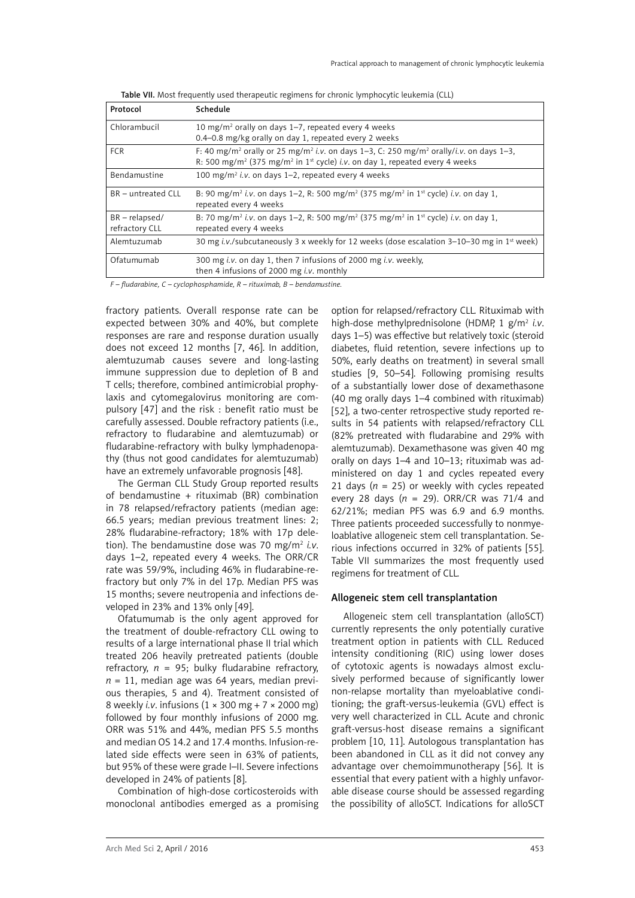| Protocol                           | Schedule                                                                                                                                                                                                                                             |
|------------------------------------|------------------------------------------------------------------------------------------------------------------------------------------------------------------------------------------------------------------------------------------------------|
| Chlorambucil                       | 10 mg/m <sup>2</sup> orally on days 1–7, repeated every 4 weeks<br>0.4-0.8 mg/kg orally on day 1, repeated every 2 weeks                                                                                                                             |
| <b>FCR</b>                         | F: 40 mg/m <sup>2</sup> orally or 25 mg/m <sup>2</sup> i.v. on days 1-3, C: 250 mg/m <sup>2</sup> orally/i.v. on days 1-3,<br>R: 500 mg/m <sup>2</sup> (375 mg/m <sup>2</sup> in 1 <sup>st</sup> cycle) <i>i.v.</i> on day 1, repeated every 4 weeks |
| Bendamustine                       | 100 mg/m <sup>2</sup> i.v. on days 1–2, repeated every 4 weeks                                                                                                                                                                                       |
| BR - untreated CLL                 | B: 90 mg/m <sup>2</sup> <i>i.v.</i> on days 1–2, R: 500 mg/m <sup>2</sup> (375 mg/m <sup>2</sup> in 1 <sup>st</sup> cycle) <i>i.v.</i> on day 1,<br>repeated every 4 weeks                                                                           |
| $BR - relanged/$<br>refractory CLL | B: 70 mg/m <sup>2</sup> <i>i.v.</i> on days 1–2, R: 500 mg/m <sup>2</sup> (375 mg/m <sup>2</sup> in 1 <sup>st</sup> cycle) <i>i.v.</i> on day 1,<br>repeated every 4 weeks                                                                           |
| Alemtuzumab                        | 30 mg <i>i.v./subcutaneously</i> 3 x weekly for 12 weeks (dose escalation $3-10-30$ mg in 1 <sup>st</sup> week)                                                                                                                                      |
| Ofatumumab                         | 300 mg <i>i.v.</i> on day 1, then 7 infusions of 2000 mg <i>i.v.</i> weekly,<br>then 4 infusions of 2000 mg <i>i.v.</i> monthly                                                                                                                      |

|  | Table VII. Most frequently used therapeutic regimens for chronic lymphocytic leukemia (CLL) |  |  |
|--|---------------------------------------------------------------------------------------------|--|--|
|  |                                                                                             |  |  |

*F – fludarabine, C – cyclophosphamide, R – rituximab, B – bendamustine.*

fractory patients. Overall response rate can be expected between 30% and 40%, but complete responses are rare and response duration usually does not exceed 12 months [7, 46]. In addition, alemtuzumab causes severe and long-lasting immune suppression due to depletion of B and T cells; therefore, combined antimicrobial prophylaxis and cytomegalovirus monitoring are compulsory [47] and the risk : benefit ratio must be carefully assessed. Double refractory patients (i.e., refractory to fludarabine and alemtuzumab) or fludarabine-refractory with bulky lymphadenopathy (thus not good candidates for alemtuzumab) have an extremely unfavorable prognosis [48].

The German CLL Study Group reported results of bendamustine + rituximab (BR) combination in 78 relapsed/refractory patients (median age: 66.5 years; median previous treatment lines: 2; 28% fludarabine-refractory; 18% with 17p deletion). The bendamustine dose was 70 mg/m2 *i.v*. days 1–2, repeated every 4 weeks. The ORR/CR rate was 59/9%, including 46% in fludarabine-refractory but only 7% in del 17p. Median PFS was 15 months; severe neutropenia and infections developed in 23% and 13% only [49].

Ofatumumab is the only agent approved for the treatment of double-refractory CLL owing to results of a large international phase II trial which treated 206 heavily pretreated patients (double refractory,  $n = 95$ ; bulky fludarabine refractory,  $n = 11$ , median age was 64 years, median previous therapies, 5 and 4). Treatment consisted of 8 weekly *i.v*. infusions (1 × 300 mg + 7 × 2000 mg) followed by four monthly infusions of 2000 mg. ORR was 51% and 44%, median PFS 5.5 months and median OS 14.2 and 17.4 months. Infusion-related side effects were seen in 63% of patients, but 95% of these were grade I–II. Severe infections developed in 24% of patients [8].

Combination of high-dose corticosteroids with monoclonal antibodies emerged as a promising option for relapsed/refractory CLL. Rituximab with high-dose methylprednisolone (HDMP, 1 g/m2 *i.v*. days 1–5) was effective but relatively toxic (steroid diabetes, fluid retention, severe infections up to 50%, early deaths on treatment) in several small studies [9, 50–54]. Following promising results of a substantially lower dose of dexamethasone (40 mg orally days 1–4 combined with rituximab) [52], a two-center retrospective study reported results in 54 patients with relapsed/refractory CLL (82% pretreated with fludarabine and 29% with alemtuzumab). Dexamethasone was given 40 mg orally on days 1–4 and 10–13; rituximab was administered on day 1 and cycles repeated every 21 days ( $n = 25$ ) or weekly with cycles repeated every 28 days (*n* = 29). ORR/CR was 71/4 and 62/21%; median PFS was 6.9 and 6.9 months. Three patients proceeded successfully to nonmyeloablative allogeneic stem cell transplantation. Serious infections occurred in 32% of patients [55]. Table VII summarizes the most frequently used regimens for treatment of CLL.

# Allogeneic stem cell transplantation

Allogeneic stem cell transplantation (alloSCT) currently represents the only potentially curative treatment option in patients with CLL. Reduced intensity conditioning (RIC) using lower doses of cytotoxic agents is nowadays almost exclusively performed because of significantly lower non-relapse mortality than myeloablative conditioning; the graft-versus-leukemia (GVL) effect is very well characterized in CLL. Acute and chronic graft-versus-host disease remains a significant problem [10, 11]. Autologous transplantation has been abandoned in CLL as it did not convey any advantage over chemoimmunotherapy [56]. It is essential that every patient with a highly unfavorable disease course should be assessed regarding the possibility of alloSCT. Indications for alloSCT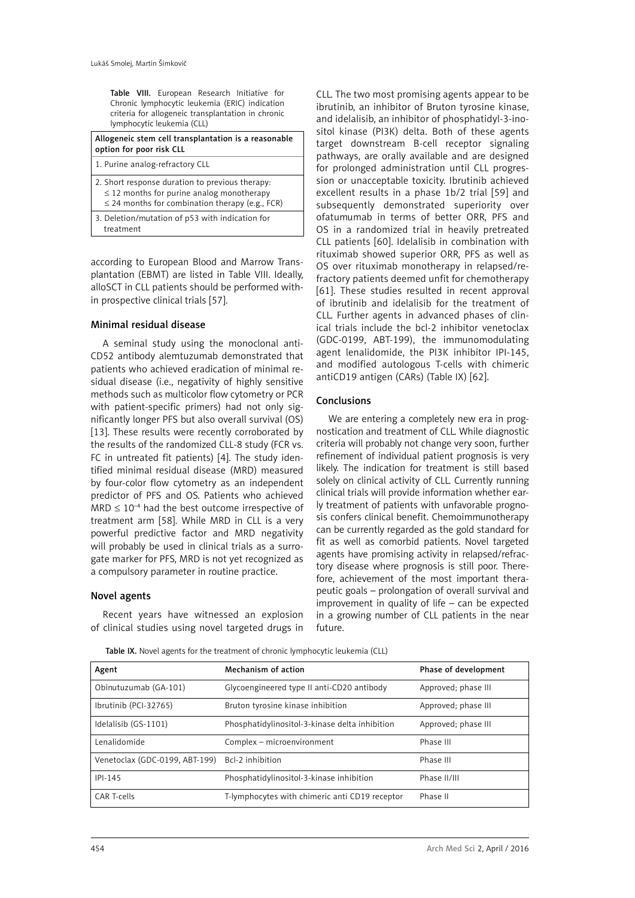Table VIII. European Research Initiative for Chronic lymphocytic leukemia (ERIC) indication criteria for allogeneic transplantation in chronic lymphocytic leukemia (CLL)

| Allogeneic stem cell transplantation is a reasonable<br>option for poor risk CLL                                                                          |
|-----------------------------------------------------------------------------------------------------------------------------------------------------------|
| 1. Purine analog-refractory CLL                                                                                                                           |
| 2. Short response duration to previous therapy:<br>$\leq$ 12 months for purine analog monotherapy<br>$\leq$ 24 months for combination therapy (e.g., FCR) |
| 3. Deletion/mutation of p53 with indication for<br>treatment                                                                                              |

according to European Blood and Marrow Transplantation (EBMT) are listed in Table VIII. Ideally, alloSCT in CLL patients should be performed within prospective clinical trials [57].

# Minimal residual disease

A seminal study using the monoclonal anti-CD52 antibody alemtuzumab demonstrated that patients who achieved eradication of minimal residual disease (i.e., negativity of highly sensitive methods such as multicolor flow cytometry or PCR with patient-specific primers) had not only significantly longer PFS but also overall survival (OS) [13]. These results were recently corroborated by the results of the randomized CLL-8 study (FCR vs. FC in untreated fit patients) [4]. The study identified minimal residual disease (MRD) measured by four-color flow cytometry as an independent predictor of PFS and OS. Patients who achieved  $MRD \leq 10^{-4}$  had the best outcome irrespective of treatment arm [58]. While MRD in CLL is a very powerful predictive factor and MRD negativity will probably be used in clinical trials as a surrogate marker for PFS, MRD is not yet recognized as a compulsory parameter in routine practice.

# Novel agents

Recent years have witnessed an explosion of clinical studies using novel targeted drugs in

CLL. The two most promising agents appear to be ibrutinib, an inhibitor of Bruton tyrosine kinase, and idelalisib, an inhibitor of phosphatidyl-3-inositol kinase (PI3K) delta. Both of these agents target downstream B-cell receptor signaling pathways, are orally available and are designed for prolonged administration until CLL progression or unacceptable toxicity. Ibrutinib achieved excellent results in a phase 1b/2 trial [59] and subsequently demonstrated superiority over ofatumumab in terms of better ORR, PFS and OS in a randomized trial in heavily pretreated CLL patients [60]. Idelalisib in combination with rituximab showed superior ORR, PFS as well as OS over rituximab monotherapy in relapsed/refractory patients deemed unfit for chemotherapy [61]. These studies resulted in recent approval of ibrutinib and idelalisib for the treatment of CLL. Further agents in advanced phases of clinical trials include the bcl-2 inhibitor venetoclax (GDC-0199, ABT-199), the immunomodulating agent lenalidomide, the PI3K inhibitor IPI-145, and modified autologous T-cells with chimeric antiCD19 antigen (CARs) (Table IX) [62].

# **Conclusions**

We are entering a completely new era in prognostication and treatment of CLL. While diagnostic criteria will probably not change very soon, further refinement of individual patient prognosis is very likely. The indication for treatment is still based solely on clinical activity of CLL. Currently running clinical trials will provide information whether early treatment of patients with unfavorable prognosis confers clinical benefit. Chemoimmunotherapy can be currently regarded as the gold standard for fit as well as comorbid patients. Novel targeted agents have promising activity in relapsed/refractory disease where prognosis is still poor. Therefore, achievement of the most important therapeutic goals – prolongation of overall survival and improvement in quality of life – can be expected in a growing number of CLL patients in the near future.

Table IX. Novel agents for the treatment of chronic lymphocytic leukemia (CLL)

| Agent                          | Mechanism of action                            | Phase of development |
|--------------------------------|------------------------------------------------|----------------------|
| Obinutuzumab (GA-101)          | Glycoengineered type II anti-CD20 antibody     | Approved; phase III  |
| Ibrutinib (PCI-32765)          | Bruton tyrosine kinase inhibition              | Approved; phase III  |
| Idelalisib (GS-1101)           | Phosphatidylinositol-3-kinase delta inhibition | Approved; phase III  |
| Lenalidomide                   | Complex - microenvironment                     | Phase III            |
| Venetoclax (GDC-0199, ABT-199) | Bcl-2 inhibition                               | Phase III            |
| $IPI-145$                      | Phosphatidylinositol-3-kinase inhibition       | Phase II/III         |
| CAR T-cells                    | T-lymphocytes with chimeric anti CD19 receptor | Phase II             |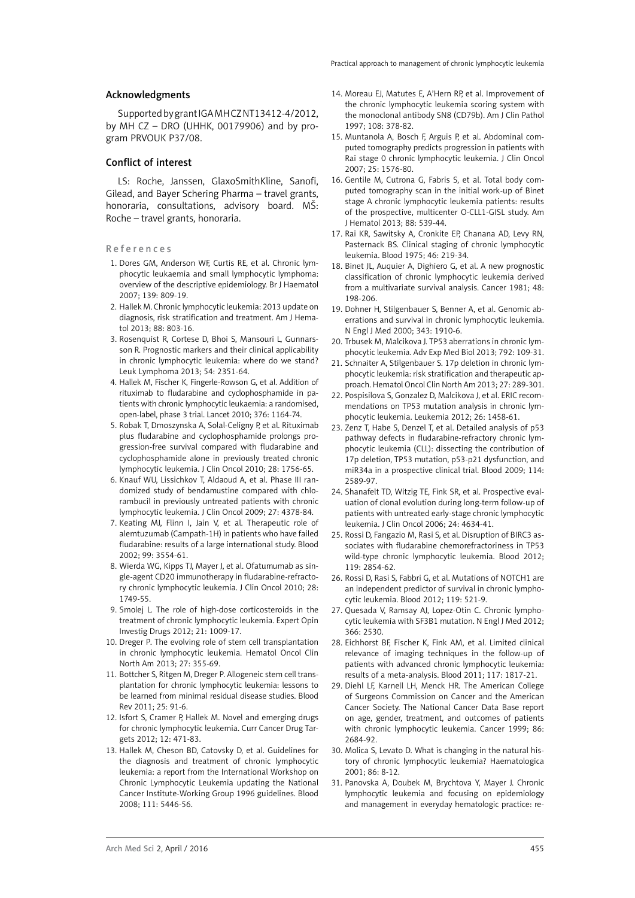#### Acknowledgments

Supported by grant IGA MH CZ NT13412-4/2012, by MH CZ – DRO (UHHK, 00179906) and by program PRVOUK P37/08.

## Conflict of interest

LS: Roche, Janssen, GlaxoSmithKline, Sanofi, Gilead, and Bayer Schering Pharma – travel grants, honoraria, consultations, advisory board. MŠ: Roche – travel grants, honoraria.

#### References

- 1. Dores GM, Anderson WF, Curtis RE, et al. Chronic lymphocytic leukaemia and small lymphocytic lymphoma: overview of the descriptive epidemiology. Br J Haematol 2007; 139: 809-19.
- 2. Hallek M. Chronic lymphocytic leukemia: 2013 update on diagnosis, risk stratification and treatment. Am J Hematol 2013; 88: 803-16.
- 3. Rosenquist R, Cortese D, Bhoi S, Mansouri L, Gunnarsson R. Prognostic markers and their clinical applicability in chronic lymphocytic leukemia: where do we stand? Leuk Lymphoma 2013; 54: 2351-64.
- 4. Hallek M, Fischer K, Fingerle-Rowson G, et al. Addition of rituximab to fludarabine and cyclophosphamide in patients with chronic lymphocytic leukaemia: a randomised, open-label, phase 3 trial. Lancet 2010; 376: 1164-74.
- 5. Robak T, Dmoszynska A, Solal-Celigny P, et al. Rituximab plus fludarabine and cyclophosphamide prolongs progression-free survival compared with fludarabine and cyclophosphamide alone in previously treated chronic lymphocytic leukemia. J Clin Oncol 2010; 28: 1756-65.
- 6. Knauf WU, Lissichkov T, Aldaoud A, et al. Phase III randomized study of bendamustine compared with chlorambucil in previously untreated patients with chronic lymphocytic leukemia. J Clin Oncol 2009; 27: 4378-84.
- 7. Keating MJ, Flinn I, Jain V, et al. Therapeutic role of alemtuzumab (Campath-1H) in patients who have failed fludarabine: results of a large international study. Blood 2002; 99: 3554-61.
- 8. Wierda WG, Kipps TJ, Mayer J, et al. Ofatumumab as single-agent CD20 immunotherapy in fludarabine-refractory chronic lymphocytic leukemia. J Clin Oncol 2010; 28: 1749-55.
- 9. Smolej L. The role of high-dose corticosteroids in the treatment of chronic lymphocytic leukemia. Expert Opin Investig Drugs 2012; 21: 1009-17.
- 10. Dreger P. The evolving role of stem cell transplantation in chronic lymphocytic leukemia. Hematol Oncol Clin North Am 2013; 27: 355-69.
- 11. Bottcher S, Ritgen M, Dreger P. Allogeneic stem cell transplantation for chronic lymphocytic leukemia: lessons to be learned from minimal residual disease studies. Blood Rev 2011; 25: 91-6.
- 12. Isfort S, Cramer P, Hallek M. Novel and emerging drugs for chronic lymphocytic leukemia. Curr Cancer Drug Targets 2012; 12: 471-83.
- 13. Hallek M, Cheson BD, Catovsky D, et al. Guidelines for the diagnosis and treatment of chronic lymphocytic leukemia: a report from the International Workshop on Chronic Lymphocytic Leukemia updating the National Cancer Institute-Working Group 1996 guidelines. Blood 2008; 111: 5446-56.
- 14. Moreau EJ, Matutes E, A'Hern RP, et al. Improvement of the chronic lymphocytic leukemia scoring system with the monoclonal antibody SN8 (CD79b). Am J Clin Pathol 1997; 108: 378-82.
- 15. Muntanola A, Bosch F, Arguis P, et al. Abdominal computed tomography predicts progression in patients with Rai stage 0 chronic lymphocytic leukemia. J Clin Oncol 2007; 25: 1576-80.
- 16. Gentile M, Cutrona G, Fabris S, et al. Total body computed tomography scan in the initial work-up of Binet stage A chronic lymphocytic leukemia patients: results of the prospective, multicenter O-CLL1-GISL study. Am J Hematol 2013; 88: 539-44.
- 17. Rai KR, Sawitsky A, Cronkite EP, Chanana AD, Levy RN, Pasternack BS. Clinical staging of chronic lymphocytic leukemia. Blood 1975; 46: 219-34.
- 18. Binet JL, Auquier A, Dighiero G, et al. A new prognostic classification of chronic lymphocytic leukemia derived from a multivariate survival analysis. Cancer 1981; 48: 198-206.
- 19. Dohner H, Stilgenbauer S, Benner A, et al. Genomic aberrations and survival in chronic lymphocytic leukemia. N Engl J Med 2000; 343: 1910-6.
- 20. Trbusek M, Malcikova J. TP53 aberrations in chronic lymphocytic leukemia. Adv Exp Med Biol 2013; 792: 109-31.
- 21. Schnaiter A, Stilgenbauer S. 17p deletion in chronic lymphocytic leukemia: risk stratification and therapeutic approach. Hematol Oncol Clin North Am 2013; 27: 289-301.
- 22. Pospisilova S, Gonzalez D, Malcikova J, et al. ERIC recommendations on TP53 mutation analysis in chronic lymphocytic leukemia. Leukemia 2012; 26: 1458-61.
- 23. Zenz T, Habe S, Denzel T, et al. Detailed analysis of p53 pathway defects in fludarabine-refractory chronic lymphocytic leukemia (CLL): dissecting the contribution of 17p deletion, TP53 mutation, p53-p21 dysfunction, and miR34a in a prospective clinical trial. Blood 2009; 114: 2589-97.
- 24. Shanafelt TD, Witzig TE, Fink SR, et al. Prospective evaluation of clonal evolution during long-term follow-up of patients with untreated early-stage chronic lymphocytic leukemia. J Clin Oncol 2006; 24: 4634-41.
- 25. Rossi D, Fangazio M, Rasi S, et al. Disruption of BIRC3 associates with fludarabine chemorefractoriness in TP53 wild-type chronic lymphocytic leukemia. Blood 2012; 119: 2854-62.
- 26. Rossi D, Rasi S, Fabbri G, et al. Mutations of NOTCH1 are an independent predictor of survival in chronic lymphocytic leukemia. Blood 2012; 119: 521-9.
- 27. Quesada V, Ramsay AJ, Lopez-Otin C. Chronic lymphocytic leukemia with SF3B1 mutation. N Engl J Med 2012; 366: 2530.
- 28. Eichhorst BF, Fischer K, Fink AM, et al. Limited clinical relevance of imaging techniques in the follow-up of patients with advanced chronic lymphocytic leukemia: results of a meta-analysis. Blood 2011; 117: 1817-21.
- 29. Diehl LF, Karnell LH, Menck HR. The American College of Surgeons Commission on Cancer and the American Cancer Society. The National Cancer Data Base report on age, gender, treatment, and outcomes of patients with chronic lymphocytic leukemia. Cancer 1999; 86: 2684-92.
- 30. Molica S, Levato D. What is changing in the natural history of chronic lymphocytic leukemia? Haematologica 2001; 86: 8-12.
- 31. Panovska A, Doubek M, Brychtova Y, Mayer J. Chronic lymphocytic leukemia and focusing on epidemiology and management in everyday hematologic practice: re-